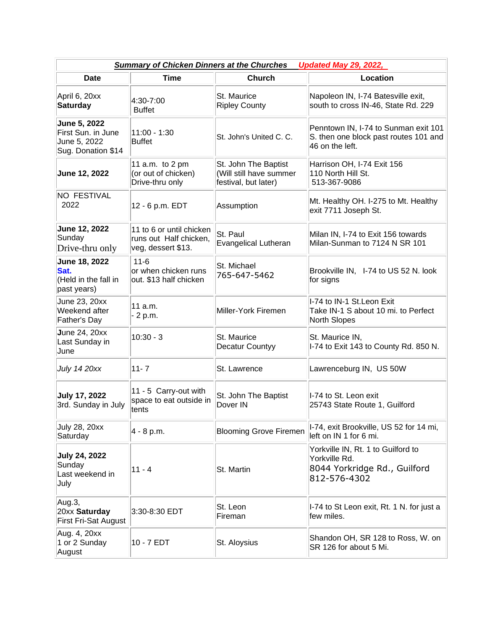| <b>Summary of Chicken Dinners at the Churches</b><br><b>Updated May 29, 2022,</b> |                                                                          |                                                                         |                                                                                                     |  |  |  |
|-----------------------------------------------------------------------------------|--------------------------------------------------------------------------|-------------------------------------------------------------------------|-----------------------------------------------------------------------------------------------------|--|--|--|
| <b>Date</b>                                                                       | <b>Time</b>                                                              | <b>Church</b>                                                           | Location                                                                                            |  |  |  |
| April 6, 20xx<br><b>Saturday</b>                                                  | 4:30-7:00<br><b>Buffet</b>                                               | St. Maurice<br><b>Ripley County</b>                                     | Napoleon IN, I-74 Batesville exit,<br>south to cross IN-46, State Rd. 229                           |  |  |  |
| June 5, 2022<br>First Sun. in June<br>June 5, 2022<br>Sug. Donation \$14          | $11:00 - 1:30$<br><b>Buffet</b>                                          | St. John's United C. C.                                                 | Penntown IN, I-74 to Sunman exit 101<br>S. then one block past routes 101 and<br>46 on the left.    |  |  |  |
| June 12, 2022                                                                     | 11 a.m. to 2 pm<br>(or out of chicken)<br>Drive-thru only                | St. John The Baptist<br>(Will still have summer<br>festival, but later) | Harrison OH, I-74 Exit 156<br>110 North Hill St.<br>513-367-9086                                    |  |  |  |
| <b>NO FESTIVAL</b><br>2022                                                        | 12 - 6 p.m. EDT                                                          | Assumption                                                              | Mt. Healthy OH. I-275 to Mt. Healthy<br>exit 7711 Joseph St.                                        |  |  |  |
| June 12, 2022<br>Sunday<br>Drive-thru only                                        | 11 to 6 or until chicken<br>runs out Half chicken,<br>veg, dessert \$13. | St. Paul<br><b>Evangelical Lutheran</b>                                 | Milan IN, I-74 to Exit 156 towards<br>Milan-Sunman to 7124 N SR 101                                 |  |  |  |
| June 18, 2022<br>Sat.<br>(Held in the fall in<br>past years)                      | $11 - 6$<br>or when chicken runs<br>out. \$13 half chicken               | St. Michael<br>765-647-5462                                             | Brookville IN, I-74 to US 52 N. look<br>for signs                                                   |  |  |  |
| June 23, 20xx<br>Weekend after<br>Father's Day                                    | 11 a.m.<br>- 2 p.m.                                                      | Miller-York Firemen                                                     | I-74 to IN-1 St. Leon Exit<br>Take IN-1 S about 10 mi. to Perfect<br>North Slopes                   |  |  |  |
| <b>June 24, 20xx</b><br>Last Sunday in<br>June                                    | $10:30 - 3$                                                              | St. Maurice<br>Decatur Countyy                                          | St. Maurice IN,<br>I-74 to Exit 143 to County Rd. 850 N.                                            |  |  |  |
| <b>July 14 20xx</b>                                                               | $11 - 7$                                                                 | St. Lawrence                                                            | Lawrenceburg IN, US 50W                                                                             |  |  |  |
| <b>July 17, 2022</b><br>3rd. Sunday in July                                       | 11 - 5 Carry-out with<br>space to eat outside in<br>tents                | St. John The Baptist<br>Dover IN                                        | I-74 to St. Leon exit<br>25743 State Route 1, Guilford                                              |  |  |  |
| July 28, 20xx<br>Saturday                                                         | 4 - 8 p.m.                                                               | <b>Blooming Grove Firemen</b>                                           | I-74, exit Brookville, US 52 for 14 mi,<br>left on IN 1 for 6 mi.                                   |  |  |  |
| <b>July 24, 2022</b><br>Sunday<br>Last weekend in<br>July                         | $11 - 4$                                                                 | St. Martin                                                              | Yorkville IN, Rt. 1 to Guilford to<br>Yorkville Rd.<br>8044 Yorkridge Rd., Guilford<br>812-576-4302 |  |  |  |
| Aug.3,<br>20xx Saturday<br><b>First Fri-Sat August</b>                            | 3:30-8:30 EDT                                                            | St. Leon<br>Fireman                                                     | I-74 to St Leon exit, Rt. 1 N. for just a<br>few miles.                                             |  |  |  |
| Aug. 4, 20xx<br>1 or 2 Sunday<br>August                                           | 10 - 7 EDT                                                               | St. Aloysius                                                            | Shandon OH, SR 128 to Ross, W. on<br>SR 126 for about 5 Mi.                                         |  |  |  |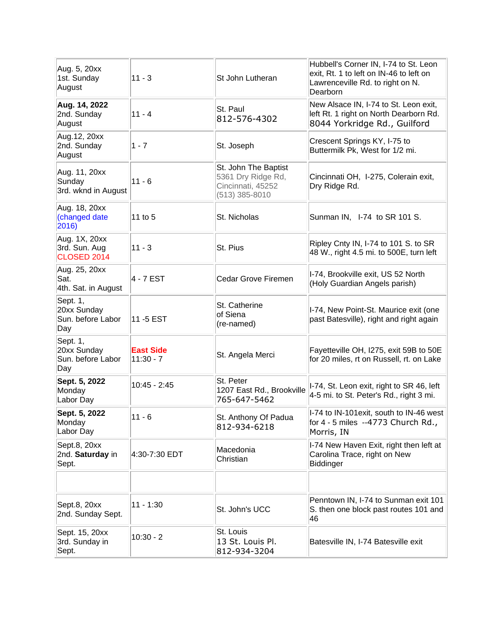| Aug. 5, 20xx<br>1st. Sunday<br>August                | $11 - 3$                        | St John Lutheran                                                                    | Hubbell's Corner IN, I-74 to St. Leon<br>exit, Rt. 1 to left on IN-46 to left on<br>Lawrenceville Rd. to right on N.<br>Dearborn |
|------------------------------------------------------|---------------------------------|-------------------------------------------------------------------------------------|----------------------------------------------------------------------------------------------------------------------------------|
| Aug. 14, 2022<br>2nd. Sunday<br>August               | $11 - 4$                        | St. Paul<br>812-576-4302                                                            | New Alsace IN, I-74 to St. Leon exit,<br>left Rt. 1 right on North Dearborn Rd.<br>8044 Yorkridge Rd., Guilford                  |
| Aug. 12, 20xx<br>2nd. Sunday<br>August               | $1 - 7$                         | St. Joseph                                                                          | Crescent Springs KY, I-75 to<br>Buttermilk Pk, West for 1/2 mi.                                                                  |
| Aug. 11, 20xx<br>Sunday<br>3rd. wknd in August       | $11 - 6$                        | St. John The Baptist<br>5361 Dry Ridge Rd,<br>Cincinnati, 45252<br>$(513)$ 385-8010 | Cincinnati OH, I-275, Colerain exit,<br>Dry Ridge Rd.                                                                            |
| Aug. 18, 20xx<br>(changed date<br>2016)              | 11 to 5                         | St. Nicholas                                                                        | Sunman IN, I-74 to SR 101 S.                                                                                                     |
| Aug. 1X, 20xx<br>3rd. Sun. Aug<br><b>CLOSED 2014</b> | $11 - 3$                        | St. Pius                                                                            | Ripley Cnty IN, I-74 to 101 S. to SR<br>48 W., right 4.5 mi. to 500E, turn left                                                  |
| Aug. 25, 20xx<br>Sat.<br>4th. Sat. in August         | 4 - 7 EST                       | Cedar Grove Firemen                                                                 | I-74, Brookville exit, US 52 North<br>(Holy Guardian Angels parish)                                                              |
| Sept. 1,<br>20xx Sunday<br>Sun. before Labor<br>Day  | 11 - 5 EST                      | St. Catherine<br>of Siena<br>(re-named)                                             | I-74, New Point-St. Maurice exit (one<br>past Batesville), right and right again                                                 |
| Sept. 1,<br>20xx Sunday<br>Sun. before Labor<br>Day  | <b>East Side</b><br>$11:30 - 7$ | St. Angela Merci                                                                    | Fayetteville OH, I275, exit 59B to 50E<br>for 20 miles, rt on Russell, rt. on Lake                                               |
| Sept. 5, 2022<br>Monday<br>Labor Day                 | $10:45 - 2:45$                  | St. Peter<br>1207 East Rd., Brookville<br>765-647-5462                              | I-74, St. Leon exit, right to SR 46, left<br>4-5 mi. to St. Peter's Rd., right 3 mi.                                             |
| Sept. 5, 2022<br>Monday<br>Labor Day                 | $11 - 6$                        | St. Anthony Of Padua<br>812-934-6218                                                | I-74 to IN-101exit, south to IN-46 west<br>for 4 - 5 miles --4773 Church Rd.,<br>Morris, IN                                      |
| Sept.8, 20xx<br>2nd. Saturday in<br>Sept.            | 4:30-7:30 EDT                   | Macedonia<br>Christian                                                              | I-74 New Haven Exit, right then left at<br>Carolina Trace, right on New<br>Biddinger                                             |
|                                                      |                                 |                                                                                     |                                                                                                                                  |
| Sept.8, 20xx<br>2nd. Sunday Sept.                    | $11 - 1:30$                     | St. John's UCC                                                                      | Penntown IN, I-74 to Sunman exit 101<br>S. then one block past routes 101 and<br>46                                              |
| Sept. 15, 20xx<br>3rd. Sunday in<br>Sept.            | $10:30 - 2$                     | St. Louis<br>13 St. Louis Pl.<br>812-934-3204                                       | Batesville IN, I-74 Batesville exit                                                                                              |